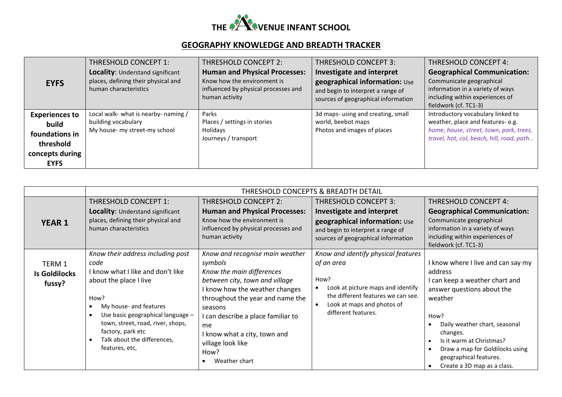

## **GEOGRAPHY KNOWLEDGE AND BREADTH TRACKER**

|                                                                                  | THRESHOLD CONCEPT 1:                                                                             | THRESHOLD CONCEPT 2:                                                                                                          | THRESHOLD CONCEPT 3:                                                                                                                   | <b>THRESHOLD CONCEPT 4:</b>                                                                                                                                    |
|----------------------------------------------------------------------------------|--------------------------------------------------------------------------------------------------|-------------------------------------------------------------------------------------------------------------------------------|----------------------------------------------------------------------------------------------------------------------------------------|----------------------------------------------------------------------------------------------------------------------------------------------------------------|
| <b>EYFS</b>                                                                      | Locality: Understand significant<br>places, defining their physical and<br>human characteristics | <b>Human and Physical Processes:</b><br>Know how the environment is<br>influenced by physical processes and<br>human activity | Investigate and interpret<br>geographical information: Use<br>and begin to interpret a range of<br>sources of geographical information | <b>Geographical Communication:</b><br>Communicate geographical<br>information in a variety of ways<br>including within experiences of<br>fieldwork (cf. TC1-3) |
| <b>Experiences to</b><br>build<br>foundations in<br>threshold<br>concepts during | Local walk- what is nearby- naming /<br>building vocabulary<br>My house- my street-my school     | Parks<br>Places / settings in stories<br>Holidays<br>Journeys / transport                                                     | 3d maps- using and creating, small<br>world, beebot maps<br>Photos and images of places                                                | Introductory vocabulary linked to<br>weather, place and features-e.g.<br>home, house, street, town, park, trees,<br>travel, hot, col, beach, hill, road, path  |
| <b>EYFS</b>                                                                      |                                                                                                  |                                                                                                                               |                                                                                                                                        |                                                                                                                                                                |

|                                          | THRESHOLD CONCEPTS & BREADTH DETAIL                                                                                                                                                                                                                                                        |                                                                                                                                                                                                                                                                                                                      |                                                                                                                                                                                                                     |                                                                                                                                                                                                                                                                                                       |
|------------------------------------------|--------------------------------------------------------------------------------------------------------------------------------------------------------------------------------------------------------------------------------------------------------------------------------------------|----------------------------------------------------------------------------------------------------------------------------------------------------------------------------------------------------------------------------------------------------------------------------------------------------------------------|---------------------------------------------------------------------------------------------------------------------------------------------------------------------------------------------------------------------|-------------------------------------------------------------------------------------------------------------------------------------------------------------------------------------------------------------------------------------------------------------------------------------------------------|
|                                          | THRESHOLD CONCEPT 1:                                                                                                                                                                                                                                                                       | THRESHOLD CONCEPT 2:                                                                                                                                                                                                                                                                                                 | <b>THRESHOLD CONCEPT 3:</b>                                                                                                                                                                                         | <b>THRESHOLD CONCEPT 4:</b>                                                                                                                                                                                                                                                                           |
| <b>YEAR 1</b>                            | Locality: Understand significant<br>places, defining their physical and<br>human characteristics                                                                                                                                                                                           | <b>Human and Physical Processes:</b><br>Know how the environment is<br>influenced by physical processes and<br>human activity                                                                                                                                                                                        | <b>Investigate and interpret</b><br>geographical information: Use<br>and begin to interpret a range of<br>sources of geographical information                                                                       | <b>Geographical Communication:</b><br>Communicate geographical<br>information in a variety of ways<br>including within experiences of<br>fieldwork (cf. TC1-3)                                                                                                                                        |
| TERM 1<br><b>Is Goldilocks</b><br>fussy? | Know their address including post<br>code<br>I know what I like and don't like<br>about the place I live<br>How?<br>My house- and features<br>Use basic geographical language -<br>town, street, road, river, shops,<br>factory, park etc<br>Talk about the differences,<br>features, etc, | Know and recognise main weather<br>symbols<br>Know the main differences<br>between city, town and village<br>I know how the weather changes<br>throughout the year and name the<br>seasons<br>I can describe a place familiar to<br>me<br>I know what a city, town and<br>village look like<br>How?<br>Weather chart | Know and identify physical features<br>of an area<br>How?<br>Look at picture maps and identify<br>$\bullet$<br>the different features we can see.<br>Look at maps and photos of<br>$\bullet$<br>different features. | I know where I live and can say my<br>address<br>I can keep a weather chart and<br>answer questions about the<br>weather<br>How?<br>Daily weather chart, seasonal<br>changes.<br>Is it warm at Christmas?<br>Draw a map for Goldilocks using<br>geographical features.<br>Create a 3D map as a class. |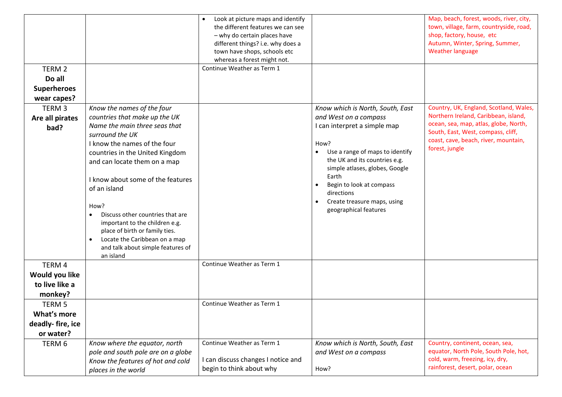|                    |                                               | Look at picture maps and identify<br>$\bullet$ |                                       | Map, beach, forest, woods, river, city, |
|--------------------|-----------------------------------------------|------------------------------------------------|---------------------------------------|-----------------------------------------|
|                    |                                               | the different features we can see              |                                       | town, village, farm, countryside, road, |
|                    |                                               | - why do certain places have                   |                                       | shop, factory, house, etc               |
|                    |                                               | different things? i.e. why does a              |                                       | Autumn, Winter, Spring, Summer,         |
|                    |                                               | town have shops, schools etc                   |                                       | <b>Weather language</b>                 |
|                    |                                               | whereas a forest might not.                    |                                       |                                         |
| TERM 2             |                                               | Continue Weather as Term 1                     |                                       |                                         |
| Do all             |                                               |                                                |                                       |                                         |
| <b>Superheroes</b> |                                               |                                                |                                       |                                         |
| wear capes?        |                                               |                                                |                                       |                                         |
| TERM <sub>3</sub>  | Know the names of the four                    |                                                | Know which is North, South, East      | Country, UK, England, Scotland, Wales,  |
| Are all pirates    | countries that make up the UK                 |                                                | and West on a compass                 | Northern Ireland, Caribbean, island,    |
| bad?               | Name the main three seas that                 |                                                | I can interpret a simple map          | ocean, sea, map, atlas, globe, North,   |
|                    | surround the UK                               |                                                |                                       | South, East, West, compass, cliff,      |
|                    | I know the names of the four                  |                                                | How?                                  | coast, cave, beach, river, mountain,    |
|                    | countries in the United Kingdom               |                                                | Use a range of maps to identify       | forest, jungle                          |
|                    | and can locate them on a map                  |                                                | the UK and its countries e.g.         |                                         |
|                    |                                               |                                                | simple atlases, globes, Google        |                                         |
|                    | I know about some of the features             |                                                | Earth                                 |                                         |
|                    | of an island                                  |                                                | Begin to look at compass<br>$\bullet$ |                                         |
|                    |                                               |                                                | directions                            |                                         |
|                    | How?                                          |                                                | Create treasure maps, using           |                                         |
|                    | Discuss other countries that are<br>$\bullet$ |                                                | geographical features                 |                                         |
|                    | important to the children e.g.                |                                                |                                       |                                         |
|                    | place of birth or family ties.                |                                                |                                       |                                         |
|                    | Locate the Caribbean on a map<br>$\bullet$    |                                                |                                       |                                         |
|                    | and talk about simple features of             |                                                |                                       |                                         |
|                    | an island                                     |                                                |                                       |                                         |
| TERM 4             |                                               | Continue Weather as Term 1                     |                                       |                                         |
| Would you like     |                                               |                                                |                                       |                                         |
| to live like a     |                                               |                                                |                                       |                                         |
| monkey?            |                                               |                                                |                                       |                                         |
| TERM 5             |                                               | Continue Weather as Term 1                     |                                       |                                         |
| What's more        |                                               |                                                |                                       |                                         |
| deadly-fire, ice   |                                               |                                                |                                       |                                         |
| or water?          |                                               |                                                |                                       |                                         |
| TERM 6             | Know where the equator, north                 | Continue Weather as Term 1                     | Know which is North, South, East      | Country, continent, ocean, sea,         |
|                    | pole and south pole are on a globe            |                                                | and West on a compass                 | equator, North Pole, South Pole, hot,   |
|                    | Know the features of hot and cold             | I can discuss changes I notice and             |                                       | cold, warm, freezing, icy, dry,         |
|                    | places in the world                           | begin to think about why                       | How?                                  | rainforest, desert, polar, ocean        |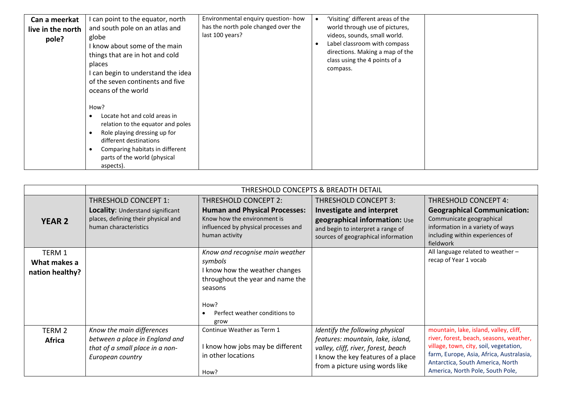| Can a meerkat     | I can point to the equator, north                                                                                                                                                                                          | Environmental enquiry question- how | 'Visiting' different areas of the                                                                                                                          |  |
|-------------------|----------------------------------------------------------------------------------------------------------------------------------------------------------------------------------------------------------------------------|-------------------------------------|------------------------------------------------------------------------------------------------------------------------------------------------------------|--|
| live in the north | and south pole on an atlas and                                                                                                                                                                                             | has the north pole changed over the | world through use of pictures,                                                                                                                             |  |
| pole?             | globe<br>I know about some of the main<br>things that are in hot and cold<br>places<br>can begin to understand the idea<br>of the seven continents and five<br>oceans of the world                                         | last 100 years?                     | videos, sounds, small world.<br>Label classroom with compass<br>$\epsilon$<br>directions. Making a map of the<br>class using the 4 points of a<br>compass. |  |
|                   | How?<br>Locate hot and cold areas in<br>relation to the equator and poles<br>Role playing dressing up for<br>- 1<br>different destinations<br>Comparing habitats in different<br>parts of the world (physical<br>aspects). |                                     |                                                                                                                                                            |  |

|                                           | THRESHOLD CONCEPTS & BREADTH DETAIL                                                                                |                                                                                              |                                                                                                                                                                                      |                                                                                                                                                                                                                                                 |
|-------------------------------------------|--------------------------------------------------------------------------------------------------------------------|----------------------------------------------------------------------------------------------|--------------------------------------------------------------------------------------------------------------------------------------------------------------------------------------|-------------------------------------------------------------------------------------------------------------------------------------------------------------------------------------------------------------------------------------------------|
|                                           | THRESHOLD CONCEPT 1:                                                                                               | <b>THRESHOLD CONCEPT 2:</b>                                                                  | <b>THRESHOLD CONCEPT 3:</b>                                                                                                                                                          | <b>THRESHOLD CONCEPT 4:</b>                                                                                                                                                                                                                     |
| <b>YEAR 2</b>                             | Locality: Understand significant<br>places, defining their physical and                                            | <b>Human and Physical Processes:</b><br>Know how the environment is                          | Investigate and interpret<br>geographical information: Use                                                                                                                           | <b>Geographical Communication:</b><br>Communicate geographical                                                                                                                                                                                  |
|                                           | human characteristics                                                                                              | influenced by physical processes and<br>human activity                                       | and begin to interpret a range of<br>sources of geographical information                                                                                                             | information in a variety of ways<br>including within experiences of<br>fieldwork                                                                                                                                                                |
| TERM 1<br>What makes a<br>nation healthy? |                                                                                                                    | Know and recognise main weather<br>symbols<br>I know how the weather changes                 |                                                                                                                                                                                      | All language related to weather -<br>recap of Year 1 vocab                                                                                                                                                                                      |
|                                           |                                                                                                                    | throughout the year and name the<br>seasons                                                  |                                                                                                                                                                                      |                                                                                                                                                                                                                                                 |
|                                           |                                                                                                                    | How?<br>Perfect weather conditions to<br>grow                                                |                                                                                                                                                                                      |                                                                                                                                                                                                                                                 |
| TERM 2<br><b>Africa</b>                   | Know the main differences<br>between a place in England and<br>that of a small place in a non-<br>European country | Continue Weather as Term 1<br>I know how jobs may be different<br>in other locations<br>How? | Identify the following physical<br>features: mountain, lake, island,<br>valley, cliff, river, forest, beach<br>I know the key features of a place<br>from a picture using words like | mountain, lake, island, valley, cliff,<br>river, forest, beach, seasons, weather,<br>village, town, city, soil, vegetation,<br>farm, Europe, Asia, Africa, Australasia,<br>Antarctica, South America, North<br>America, North Pole, South Pole, |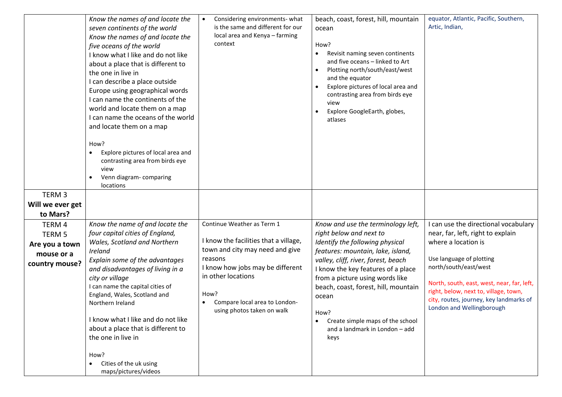|                             | Know the names of and locate the<br>seven continents of the world<br>Know the names of and locate the<br>five oceans of the world<br>I know what I like and do not like<br>about a place that is different to<br>the one in live in<br>I can describe a place outside<br>Europe using geographical words<br>I can name the continents of the<br>world and locate them on a map<br>I can name the oceans of the world<br>and locate them on a map<br>How?<br>Explore pictures of local area and<br>contrasting area from birds eye<br>view<br>Venn diagram-comparing<br>locations | Considering environments-what<br>$\bullet$<br>is the same and different for our<br>local area and Kenya - farming<br>context | beach, coast, forest, hill, mountain<br>ocean<br>How?<br>Revisit naming seven continents<br>and five oceans - linked to Art<br>Plotting north/south/east/west<br>and the equator<br>Explore pictures of local area and<br>contrasting area from birds eye<br>view<br>Explore GoogleEarth, globes,<br>atlases | equator, Atlantic, Pacific, Southern,<br>Artic, Indian,                   |
|-----------------------------|----------------------------------------------------------------------------------------------------------------------------------------------------------------------------------------------------------------------------------------------------------------------------------------------------------------------------------------------------------------------------------------------------------------------------------------------------------------------------------------------------------------------------------------------------------------------------------|------------------------------------------------------------------------------------------------------------------------------|--------------------------------------------------------------------------------------------------------------------------------------------------------------------------------------------------------------------------------------------------------------------------------------------------------------|---------------------------------------------------------------------------|
| TERM <sub>3</sub>           |                                                                                                                                                                                                                                                                                                                                                                                                                                                                                                                                                                                  |                                                                                                                              |                                                                                                                                                                                                                                                                                                              |                                                                           |
| Will we ever get            |                                                                                                                                                                                                                                                                                                                                                                                                                                                                                                                                                                                  |                                                                                                                              |                                                                                                                                                                                                                                                                                                              |                                                                           |
| to Mars?                    |                                                                                                                                                                                                                                                                                                                                                                                                                                                                                                                                                                                  | Continue Weather as Term 1                                                                                                   |                                                                                                                                                                                                                                                                                                              |                                                                           |
| TERM 4<br>TERM <sub>5</sub> | Know the name of and locate the<br>four capital cities of England,                                                                                                                                                                                                                                                                                                                                                                                                                                                                                                               |                                                                                                                              | Know and use the terminology left,<br>right below and next to                                                                                                                                                                                                                                                | I can use the directional vocabulary<br>near, far, left, right to explain |
| Are you a town              | Wales, Scotland and Northern                                                                                                                                                                                                                                                                                                                                                                                                                                                                                                                                                     | I know the facilities that a village,                                                                                        | Identify the following physical                                                                                                                                                                                                                                                                              | where a location is                                                       |
| mouse or a                  | Ireland                                                                                                                                                                                                                                                                                                                                                                                                                                                                                                                                                                          | town and city may need and give                                                                                              | features: mountain, lake, island,                                                                                                                                                                                                                                                                            |                                                                           |
| country mouse?              | Explain some of the advantages                                                                                                                                                                                                                                                                                                                                                                                                                                                                                                                                                   | reasons                                                                                                                      | valley, cliff, river, forest, beach                                                                                                                                                                                                                                                                          | Use language of plotting                                                  |
|                             | and disadvantages of living in a                                                                                                                                                                                                                                                                                                                                                                                                                                                                                                                                                 | I know how jobs may be different                                                                                             | I know the key features of a place                                                                                                                                                                                                                                                                           | north/south/east/west                                                     |
|                             | city or village                                                                                                                                                                                                                                                                                                                                                                                                                                                                                                                                                                  | in other locations                                                                                                           | from a picture using words like                                                                                                                                                                                                                                                                              | North, south, east, west, near, far, left,                                |
|                             | I can name the capital cities of<br>England, Wales, Scotland and                                                                                                                                                                                                                                                                                                                                                                                                                                                                                                                 | How?                                                                                                                         | beach, coast, forest, hill, mountain<br>ocean                                                                                                                                                                                                                                                                | right, below, next to, village, town,                                     |
|                             | Northern Ireland                                                                                                                                                                                                                                                                                                                                                                                                                                                                                                                                                                 | Compare local area to London-                                                                                                |                                                                                                                                                                                                                                                                                                              | city, routes, journey, key landmarks of                                   |
|                             |                                                                                                                                                                                                                                                                                                                                                                                                                                                                                                                                                                                  | using photos taken on walk                                                                                                   | How?                                                                                                                                                                                                                                                                                                         | London and Wellingborough                                                 |
|                             | I know what I like and do not like                                                                                                                                                                                                                                                                                                                                                                                                                                                                                                                                               |                                                                                                                              | Create simple maps of the school<br>$\bullet$                                                                                                                                                                                                                                                                |                                                                           |
|                             | about a place that is different to<br>the one in live in                                                                                                                                                                                                                                                                                                                                                                                                                                                                                                                         |                                                                                                                              | and a landmark in London - add<br>keys                                                                                                                                                                                                                                                                       |                                                                           |
|                             |                                                                                                                                                                                                                                                                                                                                                                                                                                                                                                                                                                                  |                                                                                                                              |                                                                                                                                                                                                                                                                                                              |                                                                           |
|                             | How?                                                                                                                                                                                                                                                                                                                                                                                                                                                                                                                                                                             |                                                                                                                              |                                                                                                                                                                                                                                                                                                              |                                                                           |
|                             | Cities of the uk using                                                                                                                                                                                                                                                                                                                                                                                                                                                                                                                                                           |                                                                                                                              |                                                                                                                                                                                                                                                                                                              |                                                                           |
|                             | maps/pictures/videos                                                                                                                                                                                                                                                                                                                                                                                                                                                                                                                                                             |                                                                                                                              |                                                                                                                                                                                                                                                                                                              |                                                                           |